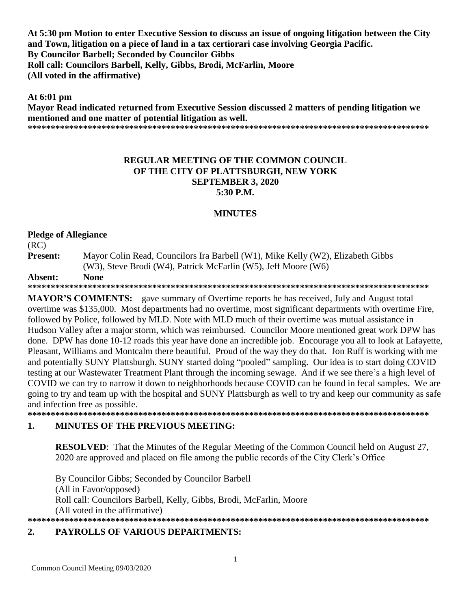**At 5:30 pm Motion to enter Executive Session to discuss an issue of ongoing litigation between the City and Town, litigation on a piece of land in a tax certiorari case involving Georgia Pacific. By Councilor Barbell; Seconded by Councilor Gibbs Roll call: Councilors Barbell, Kelly, Gibbs, Brodi, McFarlin, Moore (All voted in the affirmative)**

**At 6:01 pm** 

**Mayor Read indicated returned from Executive Session discussed 2 matters of pending litigation we mentioned and one matter of potential litigation as well. \*\*\*\*\*\*\*\*\*\*\*\*\*\*\*\*\*\*\*\*\*\*\*\*\*\*\*\*\*\*\*\*\*\*\*\*\*\*\*\*\*\*\*\*\*\*\*\*\*\*\*\*\*\*\*\*\*\*\*\*\*\*\*\*\*\*\*\*\*\*\*\*\*\*\*\*\*\*\*\*\*\*\*\*\*\*\***

### **REGULAR MEETING OF THE COMMON COUNCIL OF THE CITY OF PLATTSBURGH, NEW YORK SEPTEMBER 3, 2020 5:30 P.M.**

## **MINUTES**

#### **Pledge of Allegiance**

(RC)

**Present:** Mayor Colin Read, Councilors Ira Barbell (W1), Mike Kelly (W2), Elizabeth Gibbs (W3), Steve Brodi (W4), Patrick McFarlin (W5), Jeff Moore (W6)

#### **Absent: None**

**\*\*\*\*\*\*\*\*\*\*\*\*\*\*\*\*\*\*\*\*\*\*\*\*\*\*\*\*\*\*\*\*\*\*\*\*\*\*\*\*\*\*\*\*\*\*\*\*\*\*\*\*\*\*\*\*\*\*\*\*\*\*\*\*\*\*\*\*\*\*\*\*\*\*\*\*\*\*\*\*\*\*\*\*\*\*\***

**MAYOR'S COMMENTS:** gave summary of Overtime reports he has received, July and August total overtime was \$135,000. Most departments had no overtime, most significant departments with overtime Fire, followed by Police, followed by MLD. Note with MLD much of their overtime was mutual assistance in Hudson Valley after a major storm, which was reimbursed. Councilor Moore mentioned great work DPW has done. DPW has done 10-12 roads this year have done an incredible job. Encourage you all to look at Lafayette, Pleasant, Williams and Montcalm there beautiful. Proud of the way they do that. Jon Ruff is working with me and potentially SUNY Plattsburgh. SUNY started doing "pooled" sampling. Our idea is to start doing COVID testing at our Wastewater Treatment Plant through the incoming sewage. And if we see there's a high level of COVID we can try to narrow it down to neighborhoods because COVID can be found in fecal samples. We are going to try and team up with the hospital and SUNY Plattsburgh as well to try and keep our community as safe and infection free as possible.

**\*\*\*\*\*\*\*\*\*\*\*\*\*\*\*\*\*\*\*\*\*\*\*\*\*\*\*\*\*\*\*\*\*\*\*\*\*\*\*\*\*\*\*\*\*\*\*\*\*\*\*\*\*\*\*\*\*\*\*\*\*\*\*\*\*\*\*\*\*\*\*\*\*\*\*\*\*\*\*\*\*\*\*\*\*\*\***

## **1. MINUTES OF THE PREVIOUS MEETING:**

**RESOLVED**: That the Minutes of the Regular Meeting of the Common Council held on August 27, 2020 are approved and placed on file among the public records of the City Clerk's Office

By Councilor Gibbs; Seconded by Councilor Barbell (All in Favor/opposed) Roll call: Councilors Barbell, Kelly, Gibbs, Brodi, McFarlin, Moore (All voted in the affirmative) **\*\*\*\*\*\*\*\*\*\*\*\*\*\*\*\*\*\*\*\*\*\*\*\*\*\*\*\*\*\*\*\*\*\*\*\*\*\*\*\*\*\*\*\*\*\*\*\*\*\*\*\*\*\*\*\*\*\*\*\*\*\*\*\*\*\*\*\*\*\*\*\*\*\*\*\*\*\*\*\*\*\*\*\*\*\*\***

## **2. PAYROLLS OF VARIOUS DEPARTMENTS:**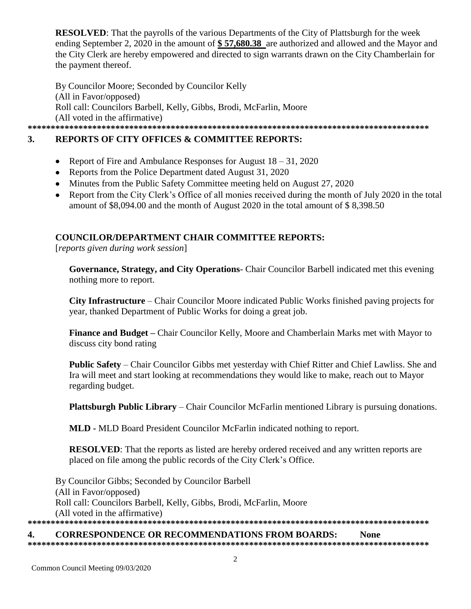**RESOLVED**: That the payrolls of the various Departments of the City of Plattsburgh for the week ending September 2, 2020 in the amount of **\$ 57,680.38** are authorized and allowed and the Mayor and the City Clerk are hereby empowered and directed to sign warrants drawn on the City Chamberlain for the payment thereof.

By Councilor Moore; Seconded by Councilor Kelly (All in Favor/opposed) Roll call: Councilors Barbell, Kelly, Gibbs, Brodi, McFarlin, Moore (All voted in the affirmative) **\*\*\*\*\*\*\*\*\*\*\*\*\*\*\*\*\*\*\*\*\*\*\*\*\*\*\*\*\*\*\*\*\*\*\*\*\*\*\*\*\*\*\*\*\*\*\*\*\*\*\*\*\*\*\*\*\*\*\*\*\*\*\*\*\*\*\*\*\*\*\*\*\*\*\*\*\*\*\*\*\*\*\*\*\*\*\***

# **3. REPORTS OF CITY OFFICES & COMMITTEE REPORTS:**

- Report of Fire and Ambulance Responses for August 18 31, 2020
- Reports from the Police Department dated August 31, 2020
- Minutes from the Public Safety Committee meeting held on August 27, 2020
- Report from the City Clerk's Office of all monies received during the month of July 2020 in the total amount of \$8,094.00 and the month of August 2020 in the total amount of \$ 8,398.50

## **COUNCILOR/DEPARTMENT CHAIR COMMITTEE REPORTS:**

[*reports given during work session*]

**Governance, Strategy, and City Operations**- Chair Councilor Barbell indicated met this evening nothing more to report.

**City Infrastructure** – Chair Councilor Moore indicated Public Works finished paving projects for year, thanked Department of Public Works for doing a great job.

**Finance and Budget –** Chair Councilor Kelly, Moore and Chamberlain Marks met with Mayor to discuss city bond rating

**Public Safety** – Chair Councilor Gibbs met yesterday with Chief Ritter and Chief Lawliss. She and Ira will meet and start looking at recommendations they would like to make, reach out to Mayor regarding budget.

**Plattsburgh Public Library** – Chair Councilor McFarlin mentioned Library is pursuing donations.

**MLD -** MLD Board President Councilor McFarlin indicated nothing to report.

**RESOLVED**: That the reports as listed are hereby ordered received and any written reports are placed on file among the public records of the City Clerk's Office.

By Councilor Gibbs; Seconded by Councilor Barbell (All in Favor/opposed) Roll call: Councilors Barbell, Kelly, Gibbs, Brodi, McFarlin, Moore (All voted in the affirmative) **\*\*\*\*\*\*\*\*\*\*\*\*\*\*\*\*\*\*\*\*\*\*\*\*\*\*\*\*\*\*\*\*\*\*\*\*\*\*\*\*\*\*\*\*\*\*\*\*\*\*\*\*\*\*\*\*\*\*\*\*\*\*\*\*\*\*\*\*\*\*\*\*\*\*\*\*\*\*\*\*\*\*\*\*\*\*\***

**4. CORRESPONDENCE OR RECOMMENDATIONS FROM BOARDS: None \*\*\*\*\*\*\*\*\*\*\*\*\*\*\*\*\*\*\*\*\*\*\*\*\*\*\*\*\*\*\*\*\*\*\*\*\*\*\*\*\*\*\*\*\*\*\*\*\*\*\*\*\*\*\*\*\*\*\*\*\*\*\*\*\*\*\*\*\*\*\*\*\*\*\*\*\*\*\*\*\*\*\*\*\*\*\***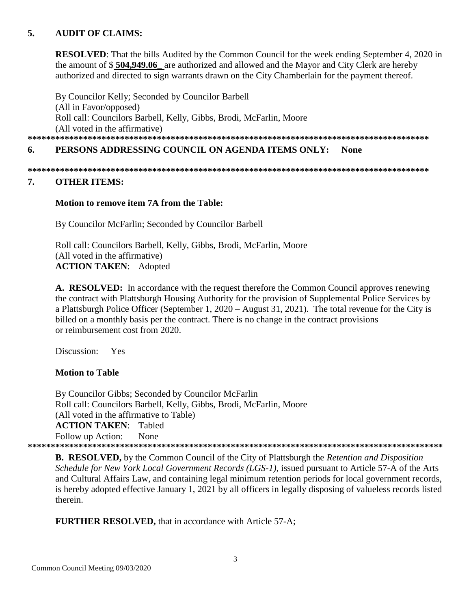## **5. AUDIT OF CLAIMS:**

**RESOLVED**: That the bills Audited by the Common Council for the week ending September 4, 2020 in the amount of \$ **504,949.06\_** are authorized and allowed and the Mayor and City Clerk are hereby authorized and directed to sign warrants drawn on the City Chamberlain for the payment thereof.

By Councilor Kelly; Seconded by Councilor Barbell (All in Favor/opposed) Roll call: Councilors Barbell, Kelly, Gibbs, Brodi, McFarlin, Moore (All voted in the affirmative) **\*\*\*\*\*\*\*\*\*\*\*\*\*\*\*\*\*\*\*\*\*\*\*\*\*\*\*\*\*\*\*\*\*\*\*\*\*\*\*\*\*\*\*\*\*\*\*\*\*\*\*\*\*\*\*\*\*\*\*\*\*\*\*\*\*\*\*\*\*\*\*\*\*\*\*\*\*\*\*\*\*\*\*\*\*\*\***

## **6. PERSONS ADDRESSING COUNCIL ON AGENDA ITEMS ONLY: None**

**\*\*\*\*\*\*\*\*\*\*\*\*\*\*\*\*\*\*\*\*\*\*\*\*\*\*\*\*\*\*\*\*\*\*\*\*\*\*\*\*\*\*\*\*\*\*\*\*\*\*\*\*\*\*\*\*\*\*\*\*\*\*\*\*\*\*\*\*\*\*\*\*\*\*\*\*\*\*\*\*\*\*\*\*\*\*\*** 

#### **7. OTHER ITEMS:**

#### **Motion to remove item 7A from the Table:**

By Councilor McFarlin; Seconded by Councilor Barbell

Roll call: Councilors Barbell, Kelly, Gibbs, Brodi, McFarlin, Moore (All voted in the affirmative) **ACTION TAKEN**: Adopted

**A. RESOLVED:** In accordance with the request therefore the Common Council approves renewing the contract with Plattsburgh Housing Authority for the provision of Supplemental Police Services by a Plattsburgh Police Officer (September 1, 2020 – August 31, 2021). The total revenue for the City is billed on a monthly basis per the contract. There is no change in the contract provisions or reimbursement cost from 2020.

Discussion: Yes

#### **Motion to Table**

 By Councilor Gibbs; Seconded by Councilor McFarlin Roll call: Councilors Barbell, Kelly, Gibbs, Brodi, McFarlin, Moore (All voted in the affirmative to Table) **ACTION TAKEN**: Tabled Follow up Action: None **\*\*\*\*\*\*\*\*\*\*\*\*\*\*\*\*\*\*\*\*\*\*\*\*\*\*\*\*\*\*\*\*\*\*\*\*\*\*\*\*\*\*\*\*\*\*\*\*\*\*\*\*\*\*\*\*\*\*\*\*\*\*\*\*\*\*\*\*\*\*\*\*\*\*\*\*\*\*\*\*\*\*\*\*\*\*\*\*\*\***

**B. RESOLVED,** by the Common Council of the City of Plattsburgh the *Retention and Disposition Schedule for New York Local Government Records (LGS-1),* issued pursuant to Article 57-A of the Arts and Cultural Affairs Law, and containing legal minimum retention periods for local government records, is hereby adopted effective January 1, 2021 by all officers in legally disposing of valueless records listed therein.

**FURTHER RESOLVED,** that in accordance with Article 57-A;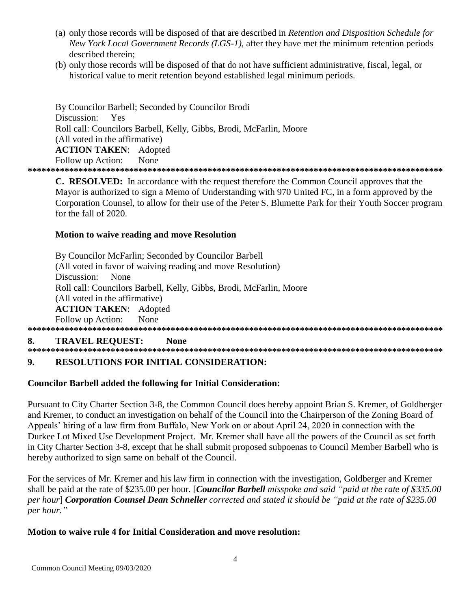- (a) only those records will be disposed of that are described in Retention and Disposition Schedule for New York Local Government Records (LGS-1), after they have met the minimum retention periods described therein:
- (b) only those records will be disposed of that do not have sufficient administrative, fiscal, legal, or historical value to merit retention beyond established legal minimum periods.

By Councilor Barbell; Seconded by Councilor Brodi Discussion: Yes Roll call: Councilors Barbell, Kelly, Gibbs, Brodi, McFarlin, Moore (All voted in the affirmative) **ACTION TAKEN: Adopted** Follow up Action: None 

C. RESOLVED: In accordance with the request therefore the Common Council approves that the Mayor is authorized to sign a Memo of Understanding with 970 United FC, in a form approved by the Corporation Counsel, to allow for their use of the Peter S. Blumette Park for their Youth Soccer program for the fall of 2020.

## **Motion to waive reading and move Resolution**

|    | By Councilor McFarlin; Seconded by Councilor Barbell                |
|----|---------------------------------------------------------------------|
|    | (All voted in favor of waiving reading and move Resolution)         |
|    | Discussion:<br><b>None</b>                                          |
|    | Roll call: Councilors Barbell, Kelly, Gibbs, Brodi, McFarlin, Moore |
|    | (All voted in the affirmative)                                      |
|    | <b>ACTION TAKEN:</b> Adopted                                        |
|    | Follow up Action: None                                              |
|    |                                                                     |
| 8. | <b>TRAVEL REOUEST:</b><br>None                                      |

#### $9<sub>1</sub>$ **RESOLUTIONS FOR INITIAL CONSIDERATION:**

## **Councilor Barbell added the following for Initial Consideration:**

Pursuant to City Charter Section 3-8, the Common Council does hereby appoint Brian S. Kremer, of Goldberger and Kremer, to conduct an investigation on behalf of the Council into the Chairperson of the Zoning Board of Appeals' hiring of a law firm from Buffalo, New York on or about April 24, 2020 in connection with the Durkee Lot Mixed Use Development Project. Mr. Kremer shall have all the powers of the Council as set forth in City Charter Section 3-8, except that he shall submit proposed subpoenas to Council Member Barbell who is hereby authorized to sign same on behalf of the Council.

For the services of Mr. Kremer and his law firm in connection with the investigation, Goldberger and Kremer shall be paid at the rate of \$235.00 per hour. [Councilor Barbell misspoke and said "paid at the rate of \$335.00 per hour] Corporation Counsel Dean Schneller corrected and stated it should be "paid at the rate of \$235.00 per hour."

## Motion to waive rule 4 for Initial Consideration and move resolution: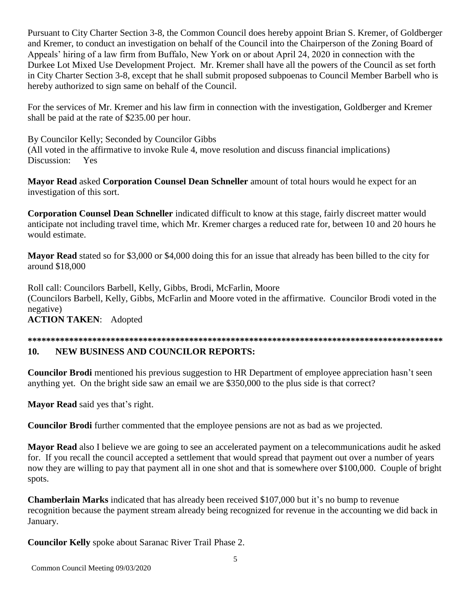Pursuant to City Charter Section 3-8, the Common Council does hereby appoint Brian S. Kremer, of Goldberger and Kremer, to conduct an investigation on behalf of the Council into the Chairperson of the Zoning Board of Appeals' hiring of a law firm from Buffalo, New York on or about April 24, 2020 in connection with the Durkee Lot Mixed Use Development Project. Mr. Kremer shall have all the powers of the Council as set forth in City Charter Section 3-8, except that he shall submit proposed subpoenas to Council Member Barbell who is hereby authorized to sign same on behalf of the Council.

For the services of Mr. Kremer and his law firm in connection with the investigation, Goldberger and Kremer shall be paid at the rate of \$235.00 per hour.

By Councilor Kelly; Seconded by Councilor Gibbs (All voted in the affirmative to invoke Rule 4, move resolution and discuss financial implications) Discussion: Yes

Mayor Read asked Corporation Counsel Dean Schneller amount of total hours would he expect for an investigation of this sort.

Corporation Counsel Dean Schneller indicated difficult to know at this stage, fairly discreet matter would anticipate not including travel time, which Mr. Kremer charges a reduced rate for, between 10 and 20 hours he would estimate.

**Mayor Read** stated so for \$3,000 or \$4,000 doing this for an issue that already has been billed to the city for around \$18,000

Roll call: Councilors Barbell, Kelly, Gibbs, Brodi, McFarlin, Moore (Councilors Barbell, Kelly, Gibbs, McFarlin and Moore voted in the affirmative. Councilor Brodi voted in the negative)

**ACTION TAKEN: Adopted** 

## 

#### $10.$ **NEW BUSINESS AND COUNCILOR REPORTS:**

**Councilor Brodi** mentioned his previous suggestion to HR Department of employee appreciation hasn't seen anything yet. On the bright side saw an email we are \$350,000 to the plus side is that correct?

Mayor Read said yes that's right.

Councilor Brodi further commented that the employee pensions are not as bad as we projected.

Mayor Read also I believe we are going to see an accelerated payment on a telecommunications audit he asked for. If you recall the council accepted a settlement that would spread that payment out over a number of years now they are willing to pay that payment all in one shot and that is somewhere over \$100,000. Couple of bright spots.

**Chamberlain Marks** indicated that has already been received \$107,000 but it's no bump to revenue recognition because the payment stream already being recognized for revenue in the accounting we did back in January.

**Councilor Kelly** spoke about Saranac River Trail Phase 2.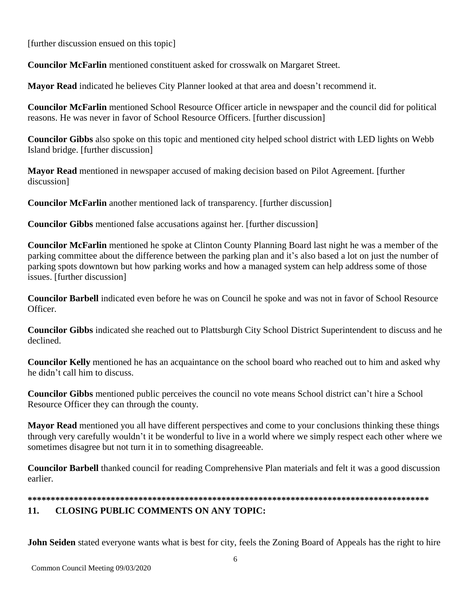[further discussion ensued on this topic]

**Councilor McFarlin** mentioned constituent asked for crosswalk on Margaret Street.

**Mayor Read** indicated he believes City Planner looked at that area and doesn't recommend it.

**Councilor McFarlin** mentioned School Resource Officer article in newspaper and the council did for political reasons. He was never in favor of School Resource Officers. [further discussion]

**Councilor Gibbs** also spoke on this topic and mentioned city helped school district with LED lights on Webb Island bridge. [further discussion]

**Mayor Read** mentioned in newspaper accused of making decision based on Pilot Agreement. [further discussion

**Councilor McFarlin** another mentioned lack of transparency. [further discussion]

**Councilor Gibbs** mentioned false accusations against her. [further discussion]

**Councilor McFarlin** mentioned he spoke at Clinton County Planning Board last night he was a member of the parking committee about the difference between the parking plan and it's also based a lot on just the number of parking spots downtown but how parking works and how a managed system can help address some of those issues. [further discussion]

**Councilor Barbell** indicated even before he was on Council he spoke and was not in favor of School Resource Officer.

**Councilor Gibbs** indicated she reached out to Plattsburgh City School District Superintendent to discuss and he declined.

**Councilor Kelly** mentioned he has an acquaintance on the school board who reached out to him and asked why he didn't call him to discuss.

Councilor Gibbs mentioned public perceives the council no vote means School district can't hire a School Resource Officer they can through the county.

Mayor Read mentioned you all have different perspectives and come to your conclusions thinking these things through very carefully wouldn't it be wonderful to live in a world where we simply respect each other where we sometimes disagree but not turn it in to something disagreeable.

**Councilor Barbell** thanked council for reading Comprehensive Plan materials and felt it was a good discussion earlier

#### $11.$ **CLOSING PUBLIC COMMENTS ON ANY TOPIC:**

John Seiden stated everyone wants what is best for city, feels the Zoning Board of Appeals has the right to hire